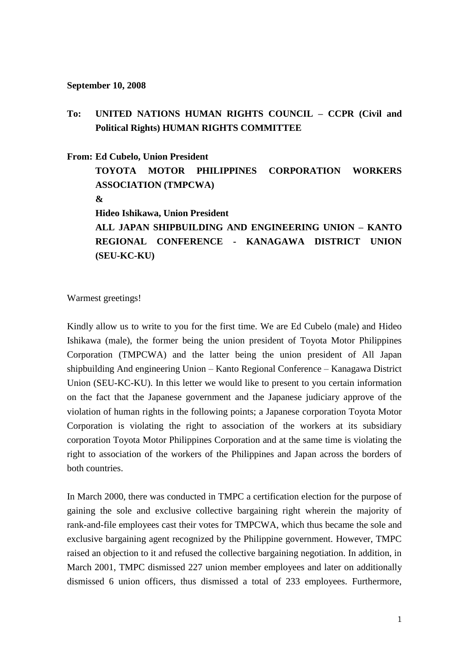## **September 10, 2008**

## **To: UNITED NATIONS HUMAN RIGHTS COUNCIL – CCPR (Civil and Political Rights) HUMAN RIGHTS COMMITTEE**

**From: Ed Cubelo, Union President**

**TOYOTA MOTOR PHILIPPINES CORPORATION WORKERS ASSOCIATION (TMPCWA) & Hideo Ishikawa, Union President ALL JAPAN SHIPBUILDING AND ENGINEERING UNION – KANTO REGIONAL CONFERENCE - KANAGAWA DISTRICT UNION (SEU-KC-KU)**

Warmest greetings!

Kindly allow us to write to you for the first time. We are Ed Cubelo (male) and Hideo Ishikawa (male), the former being the union president of Toyota Motor Philippines Corporation (TMPCWA) and the latter being the union president of All Japan shipbuilding And engineering Union – Kanto Regional Conference – Kanagawa District Union (SEU-KC-KU). In this letter we would like to present to you certain information on the fact that the Japanese government and the Japanese judiciary approve of the violation of human rights in the following points; a Japanese corporation Toyota Motor Corporation is violating the right to association of the workers at its subsidiary corporation Toyota Motor Philippines Corporation and at the same time is violating the right to association of the workers of the Philippines and Japan across the borders of both countries.

In March 2000, there was conducted in TMPC a certification election for the purpose of gaining the sole and exclusive collective bargaining right wherein the majority of rank-and-file employees cast their votes for TMPCWA, which thus became the sole and exclusive bargaining agent recognized by the Philippine government. However, TMPC raised an objection to it and refused the collective bargaining negotiation. In addition, in March 2001, TMPC dismissed 227 union member employees and later on additionally dismissed 6 union officers, thus dismissed a total of 233 employees. Furthermore,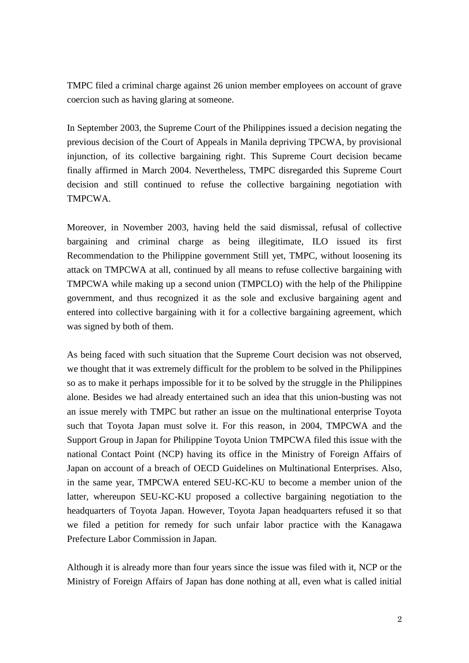TMPC filed a criminal charge against 26 union member employees on account of grave coercion such as having glaring at someone.

In September 2003, the Supreme Court of the Philippines issued a decision negating the previous decision of the Court of Appeals in Manila depriving TPCWA, by provisional injunction, of its collective bargaining right. This Supreme Court decision became finally affirmed in March 2004. Nevertheless, TMPC disregarded this Supreme Court decision and still continued to refuse the collective bargaining negotiation with TMPCWA.

Moreover, in November 2003, having held the said dismissal, refusal of collective bargaining and criminal charge as being illegitimate, ILO issued its first Recommendation to the Philippine government Still yet, TMPC, without loosening its attack on TMPCWA at all, continued by all means to refuse collective bargaining with TMPCWA while making up a second union (TMPCLO) with the help of the Philippine government, and thus recognized it as the sole and exclusive bargaining agent and entered into collective bargaining with it for a collective bargaining agreement, which was signed by both of them.

As being faced with such situation that the Supreme Court decision was not observed, we thought that it was extremely difficult for the problem to be solved in the Philippines so as to make it perhaps impossible for it to be solved by the struggle in the Philippines alone. Besides we had already entertained such an idea that this union-busting was not an issue merely with TMPC but rather an issue on the multinational enterprise Toyota such that Toyota Japan must solve it. For this reason, in 2004, TMPCWA and the Support Group in Japan for Philippine Toyota Union TMPCWA filed this issue with the national Contact Point (NCP) having its office in the Ministry of Foreign Affairs of Japan on account of a breach of OECD Guidelines on Multinational Enterprises. Also, in the same year, TMPCWA entered SEU-KC-KU to become a member union of the latter, whereupon SEU-KC-KU proposed a collective bargaining negotiation to the headquarters of Toyota Japan. However, Toyota Japan headquarters refused it so that we filed a petition for remedy for such unfair labor practice with the Kanagawa Prefecture Labor Commission in Japan.

Although it is already more than four years since the issue was filed with it, NCP or the Ministry of Foreign Affairs of Japan has done nothing at all, even what is called initial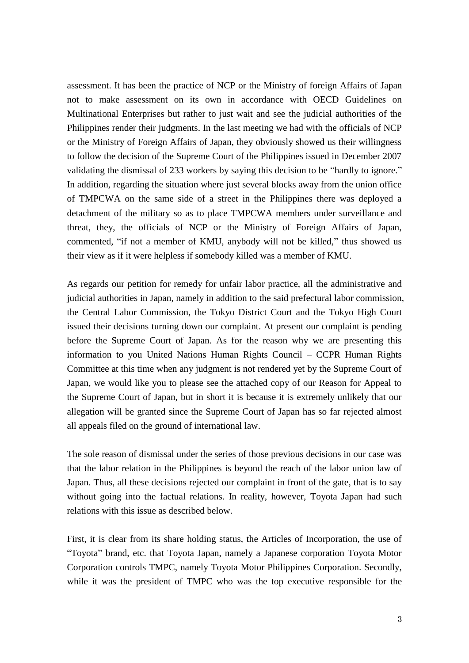assessment. It has been the practice of NCP or the Ministry of foreign Affairs of Japan not to make assessment on its own in accordance with OECD Guidelines on Multinational Enterprises but rather to just wait and see the judicial authorities of the Philippines render their judgments. In the last meeting we had with the officials of NCP or the Ministry of Foreign Affairs of Japan, they obviously showed us their willingness to follow the decision of the Supreme Court of the Philippines issued in December 2007 validating the dismissal of 233 workers by saying this decision to be "hardly to ignore." In addition, regarding the situation where just several blocks away from the union office of TMPCWA on the same side of a street in the Philippines there was deployed a detachment of the military so as to place TMPCWA members under surveillance and threat, they, the officials of NCP or the Ministry of Foreign Affairs of Japan, commented, "if not a member of KMU, anybody will not be killed," thus showed us their view as if it were helpless if somebody killed was a member of KMU.

As regards our petition for remedy for unfair labor practice, all the administrative and judicial authorities in Japan, namely in addition to the said prefectural labor commission, the Central Labor Commission, the Tokyo District Court and the Tokyo High Court issued their decisions turning down our complaint. At present our complaint is pending before the Supreme Court of Japan. As for the reason why we are presenting this information to you United Nations Human Rights Council – CCPR Human Rights Committee at this time when any judgment is not rendered yet by the Supreme Court of Japan, we would like you to please see the attached copy of our Reason for Appeal to the Supreme Court of Japan, but in short it is because it is extremely unlikely that our allegation will be granted since the Supreme Court of Japan has so far rejected almost all appeals filed on the ground of international law.

The sole reason of dismissal under the series of those previous decisions in our case was that the labor relation in the Philippines is beyond the reach of the labor union law of Japan. Thus, all these decisions rejected our complaint in front of the gate, that is to say without going into the factual relations. In reality, however, Toyota Japan had such relations with this issue as described below.

First, it is clear from its share holding status, the Articles of Incorporation, the use of "Toyota" brand, etc. that Toyota Japan, namely a Japanese corporation Toyota Motor Corporation controls TMPC, namely Toyota Motor Philippines Corporation. Secondly, while it was the president of TMPC who was the top executive responsible for the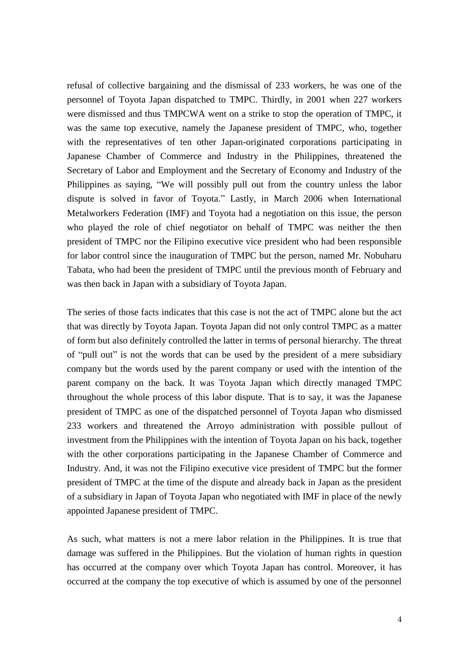refusal of collective bargaining and the dismissal of 233 workers, he was one of the personnel of Toyota Japan dispatched to TMPC. Thirdly, in 2001 when 227 workers were dismissed and thus TMPCWA went on a strike to stop the operation of TMPC, it was the same top executive, namely the Japanese president of TMPC, who, together with the representatives of ten other Japan-originated corporations participating in Japanese Chamber of Commerce and Industry in the Philippines, threatened the Secretary of Labor and Employment and the Secretary of Economy and Industry of the Philippines as saying, "We will possibly pull out from the country unless the labor dispute is solved in favor of Toyota." Lastly, in March 2006 when International Metalworkers Federation (IMF) and Toyota had a negotiation on this issue, the person who played the role of chief negotiator on behalf of TMPC was neither the then president of TMPC nor the Filipino executive vice president who had been responsible for labor control since the inauguration of TMPC but the person, named Mr. Nobuharu Tabata, who had been the president of TMPC until the previous month of February and was then back in Japan with a subsidiary of Toyota Japan.

The series of those facts indicates that this case is not the act of TMPC alone but the act that was directly by Toyota Japan. Toyota Japan did not only control TMPC as a matter of form but also definitely controlled the latter in terms of personal hierarchy. The threat of "pull out" is not the words that can be used by the president of a mere subsidiary company but the words used by the parent company or used with the intention of the parent company on the back. It was Toyota Japan which directly managed TMPC throughout the whole process of this labor dispute. That is to say, it was the Japanese president of TMPC as one of the dispatched personnel of Toyota Japan who dismissed 233 workers and threatened the Arroyo administration with possible pullout of investment from the Philippines with the intention of Toyota Japan on his back, together with the other corporations participating in the Japanese Chamber of Commerce and Industry. And, it was not the Filipino executive vice president of TMPC but the former president of TMPC at the time of the dispute and already back in Japan as the president of a subsidiary in Japan of Toyota Japan who negotiated with IMF in place of the newly appointed Japanese president of TMPC.

As such, what matters is not a mere labor relation in the Philippines. It is true that damage was suffered in the Philippines. But the violation of human rights in question has occurred at the company over which Toyota Japan has control. Moreover, it has occurred at the company the top executive of which is assumed by one of the personnel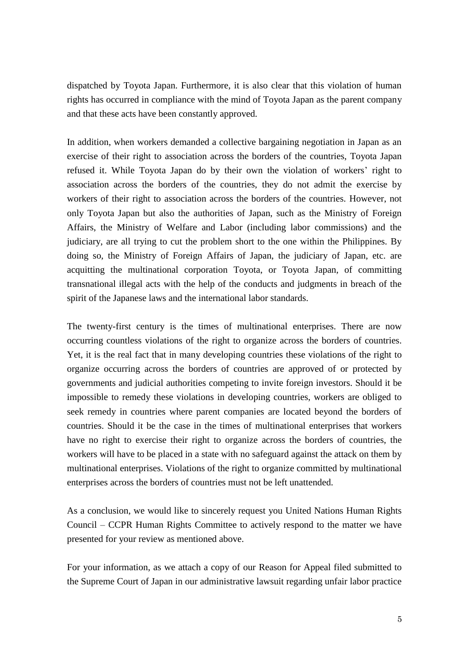dispatched by Toyota Japan. Furthermore, it is also clear that this violation of human rights has occurred in compliance with the mind of Toyota Japan as the parent company and that these acts have been constantly approved.

In addition, when workers demanded a collective bargaining negotiation in Japan as an exercise of their right to association across the borders of the countries, Toyota Japan refused it. While Toyota Japan do by their own the violation of workers' right to association across the borders of the countries, they do not admit the exercise by workers of their right to association across the borders of the countries. However, not only Toyota Japan but also the authorities of Japan, such as the Ministry of Foreign Affairs, the Ministry of Welfare and Labor (including labor commissions) and the judiciary, are all trying to cut the problem short to the one within the Philippines. By doing so, the Ministry of Foreign Affairs of Japan, the judiciary of Japan, etc. are acquitting the multinational corporation Toyota, or Toyota Japan, of committing transnational illegal acts with the help of the conducts and judgments in breach of the spirit of the Japanese laws and the international labor standards.

The twenty-first century is the times of multinational enterprises. There are now occurring countless violations of the right to organize across the borders of countries. Yet, it is the real fact that in many developing countries these violations of the right to organize occurring across the borders of countries are approved of or protected by governments and judicial authorities competing to invite foreign investors. Should it be impossible to remedy these violations in developing countries, workers are obliged to seek remedy in countries where parent companies are located beyond the borders of countries. Should it be the case in the times of multinational enterprises that workers have no right to exercise their right to organize across the borders of countries, the workers will have to be placed in a state with no safeguard against the attack on them by multinational enterprises. Violations of the right to organize committed by multinational enterprises across the borders of countries must not be left unattended.

As a conclusion, we would like to sincerely request you United Nations Human Rights Council – CCPR Human Rights Committee to actively respond to the matter we have presented for your review as mentioned above.

For your information, as we attach a copy of our Reason for Appeal filed submitted to the Supreme Court of Japan in our administrative lawsuit regarding unfair labor practice